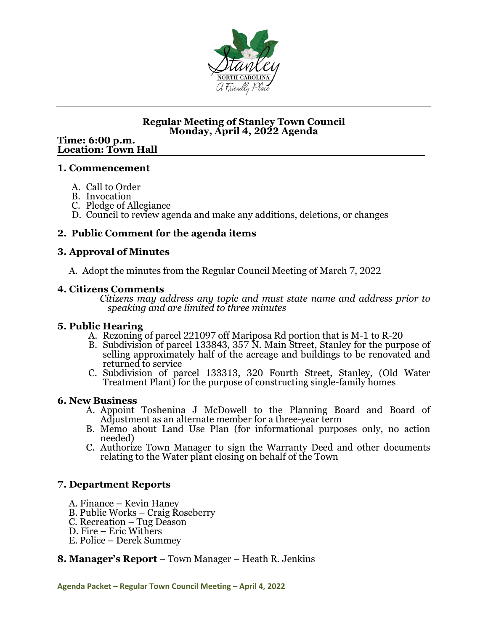

### **Regular Meeting of Stanley Town Council Monday, April 4, 2022 Agenda**

# **Time: 6:00 p.m. Location: Town Hall**

#### **1. Commencement**

- A. Call to Order
- B. Invocation
- C. Pledge of Allegiance
- D. Council to review agenda and make any additions, deletions, or changes

### **2. Public Comment for the agenda items**

#### **3. Approval of Minutes**

A. Adopt the minutes from the Regular Council Meeting of March 7, 2022<br>4. Citizens Comments

**4. Citizens Comments** *Citizens may address any topic and must state name and address prior to speaking and are limited to three minutes*

#### **5. Public Hearing**

- A. Rezoning of parcel 221097 off Mariposa Rd portion that is M-1 to R-20
- B. Subdivision of parcel 133843, 357 N. Main Street, Stanley for the purpose of selling approximately half of the acreage and buildings to be renovated and returned to service
- C. Subdivision of parcel 133313, 320 Fourth Street, Stanley, (Old Water Treatment Plant) for the purpose of constructing single-family homes

#### **6. New Business**

- A. Appoint Toshenina J McDowell to the Planning Board and Board of Adjustment as an alternate member for a three-year term
- B. Memo about Land Use Plan (for informational purposes only, no action needed)
- C. Authorize Town Manager to sign the Warranty Deed and other documents relating to the Water plant closing on behalf of the Town

#### **7. Department Reports**

- 
- A. Finance Kevin Haney<br>B. Public Works Craig Roseberry<br>C. Recreation Tug Deason<br>D. Fire Eric Withers<br>E. Police Derek Summey
- 
- 
- 

#### **8. Manager's Report** – Town Manager – Heath R. Jenkins

**Agenda Packet – Regular Town Council Meeting – April 4, 2022**